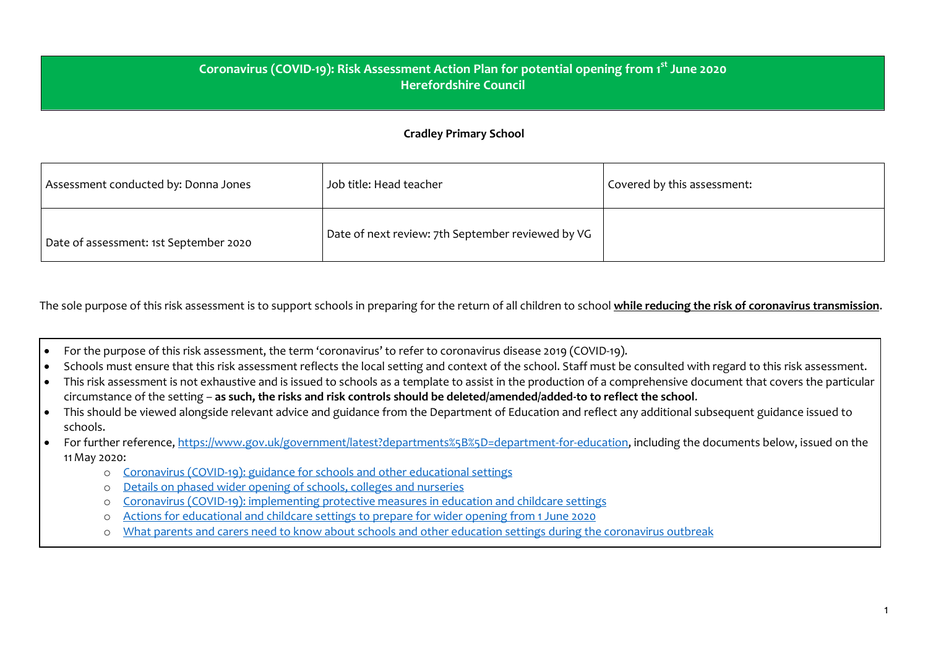## **Coronavirus (COVID-19): Risk Assessment Action Plan for potential opening from 1 st June 2020 Herefordshire Council**

## **Cradley Primary School**

| Assessment conducted by: Donna Jones   | Job title: Head teacher                           | Covered by this assessment: |
|----------------------------------------|---------------------------------------------------|-----------------------------|
| Date of assessment: 1st September 2020 | Date of next review: 7th September reviewed by VG |                             |

The sole purpose of this risk assessment is to support schools in preparing for the return of all children to school **while reducing the risk of coronavirus transmission**.

- For the purpose of this risk assessment, the term 'coronavirus' to refer to coronavirus disease 2019 (COVID-19).
- Schools must ensure that this risk assessment reflects the local setting and context of the school. Staff must be consulted with regard to this risk assessment.
- This risk assessment is not exhaustive and is issued to schools as a template to assist in the production of a comprehensive document that covers the particular circumstance of the setting – **as such, the risks and risk controls should be deleted/amended/added-to to reflect the school**.
- This should be viewed alongside relevant advice and guidance from the Department of Education and reflect any additional subsequent guidance issued to schools.
- For further reference, [https://www.gov.uk/government/latest?departments%5B%5D=department-for-education,](https://www.gov.uk/government/latest?departments%255B%255D=department-for-education) including the documents below, issued on the 11May 2020:
	- o [Coronavirus](https://www.gov.uk/government/collections/coronavirus-covid-19-guidance-for-schools-and-other-educational-settings) (COVID-19): guidance for schools and other educational settings
	- o Details on phased wider opening of schools, colleges and [nurseries](https://www.gov.uk/government/news/details-on-phased-wider-opening-of-schools-colleges-and-nurseries)
	- o Coronavirus (COVID-19): [implementing](https://www.gov.uk/government/publications/coronavirus-covid-19-implementing-protective-measures-in-education-and-childcare-settings) protective measures in education and childcare settings
	- o Actions for [educational](https://www.gov.uk/government/publications/actions-for-educational-and-childcare-settings-to-prepare-for-wider-opening-from-1-june-2020) and childcare settings to prepare for wider opening from 1 June 2020
	- o What parents and carers need to know about schools and other education settings during the [coronavirus](https://www.gov.uk/government/publications/closure-of-educational-settings-information-for-parents-and-carers) outbreak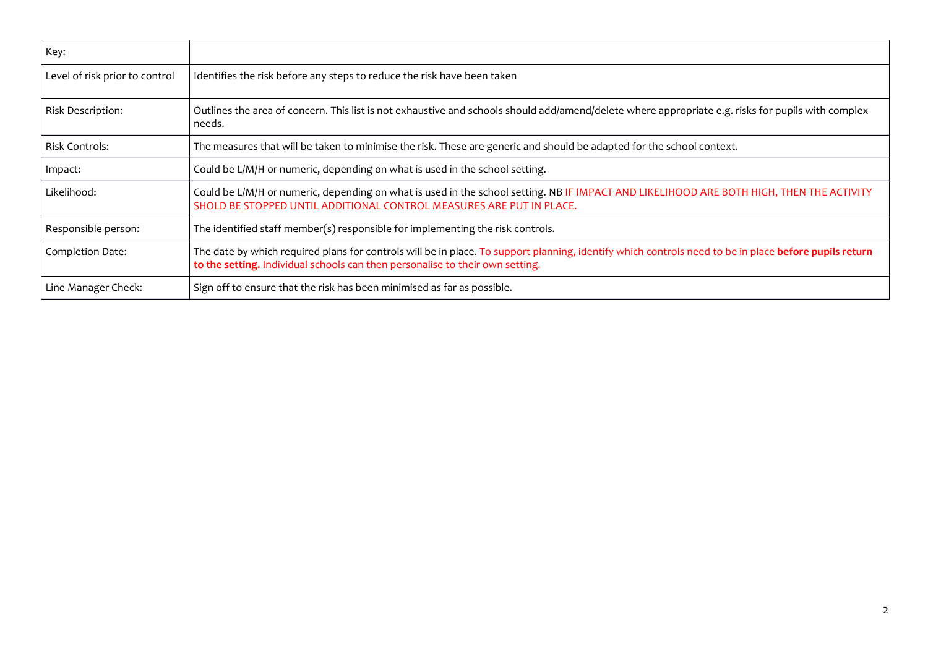| Key:                           |                                                                                                                                                                                                                                        |
|--------------------------------|----------------------------------------------------------------------------------------------------------------------------------------------------------------------------------------------------------------------------------------|
| Level of risk prior to control | Identifies the risk before any steps to reduce the risk have been taken                                                                                                                                                                |
| <b>Risk Description:</b>       | Outlines the area of concern. This list is not exhaustive and schools should add/amend/delete where appropriate e.g. risks for pupils with complex<br>needs.                                                                           |
| <b>Risk Controls:</b>          | The measures that will be taken to minimise the risk. These are generic and should be adapted for the school context.                                                                                                                  |
| Impact:                        | Could be L/M/H or numeric, depending on what is used in the school setting.                                                                                                                                                            |
| Likelihood:                    | Could be L/M/H or numeric, depending on what is used in the school setting. NB IF IMPACT AND LIKELIHOOD ARE BOTH HIGH, THEN THE ACTIVITY<br>SHOLD BE STOPPED UNTIL ADDITIONAL CONTROL MEASURES ARE PUT IN PLACE.                       |
| Responsible person:            | The identified staff member(s) responsible for implementing the risk controls.                                                                                                                                                         |
| Completion Date:               | The date by which required plans for controls will be in place. To support planning, identify which controls need to be in place before pupils return<br>to the setting. Individual schools can then personalise to their own setting. |
| Line Manager Check:            | Sign off to ensure that the risk has been minimised as far as possible.                                                                                                                                                                |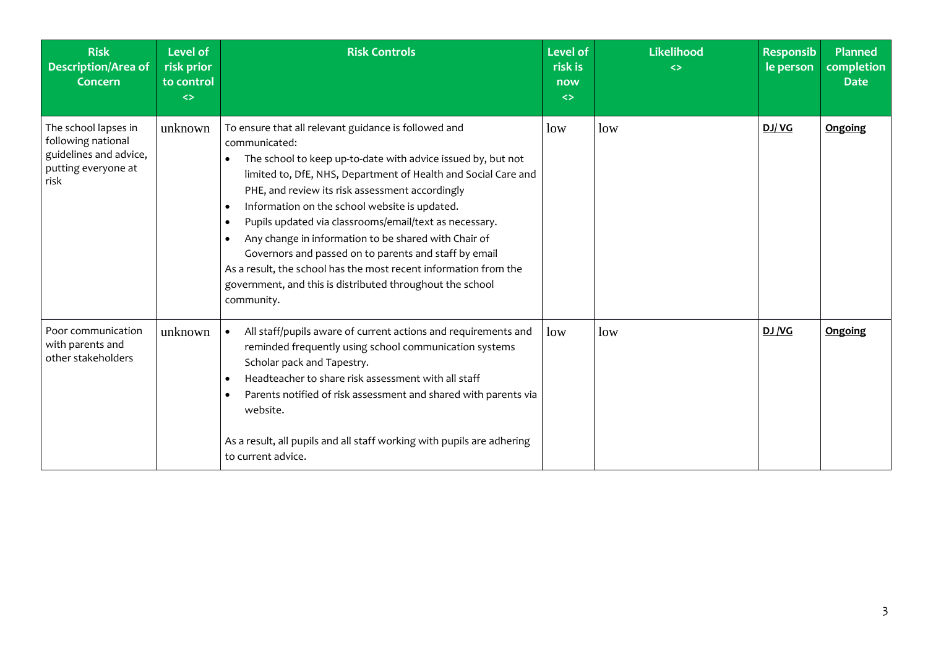| <b>Risk</b><br><b>Description/Area of</b><br><b>Concern</b>                                         | <b>Level of</b><br>risk prior<br>to control<br>$\leftrightarrow$ | <b>Risk Controls</b>                                                                                                                                                                                                                                                                                                                                                                                                                                                                                                                                                                                                                                                         | <b>Level of</b><br>risk is<br>now<br>$\leftrightarrow$ | <b>Likelihood</b><br><> | <b>Responsib</b><br>le person | <b>Planned</b><br>completion<br><b>Date</b> |
|-----------------------------------------------------------------------------------------------------|------------------------------------------------------------------|------------------------------------------------------------------------------------------------------------------------------------------------------------------------------------------------------------------------------------------------------------------------------------------------------------------------------------------------------------------------------------------------------------------------------------------------------------------------------------------------------------------------------------------------------------------------------------------------------------------------------------------------------------------------------|--------------------------------------------------------|-------------------------|-------------------------------|---------------------------------------------|
| The school lapses in<br>following national<br>guidelines and advice,<br>putting everyone at<br>risk | unknown                                                          | To ensure that all relevant guidance is followed and<br>communicated:<br>The school to keep up-to-date with advice issued by, but not<br>limited to, DfE, NHS, Department of Health and Social Care and<br>PHE, and review its risk assessment accordingly<br>Information on the school website is updated.<br>$\bullet$<br>Pupils updated via classrooms/email/text as necessary.<br>$\bullet$<br>Any change in information to be shared with Chair of<br>$\bullet$<br>Governors and passed on to parents and staff by email<br>As a result, the school has the most recent information from the<br>government, and this is distributed throughout the school<br>community. | low                                                    | low                     | DJ/VG                         | <b>Ongoing</b>                              |
| Poor communication<br>with parents and<br>other stakeholders                                        | unknown                                                          | All staff/pupils aware of current actions and requirements and<br>$\bullet$<br>reminded frequently using school communication systems<br>Scholar pack and Tapestry.<br>Headteacher to share risk assessment with all staff<br>$\bullet$<br>Parents notified of risk assessment and shared with parents via<br>website.<br>As a result, all pupils and all staff working with pupils are adhering<br>to current advice.                                                                                                                                                                                                                                                       | low                                                    | low                     | DJ/VG                         | Ongoing                                     |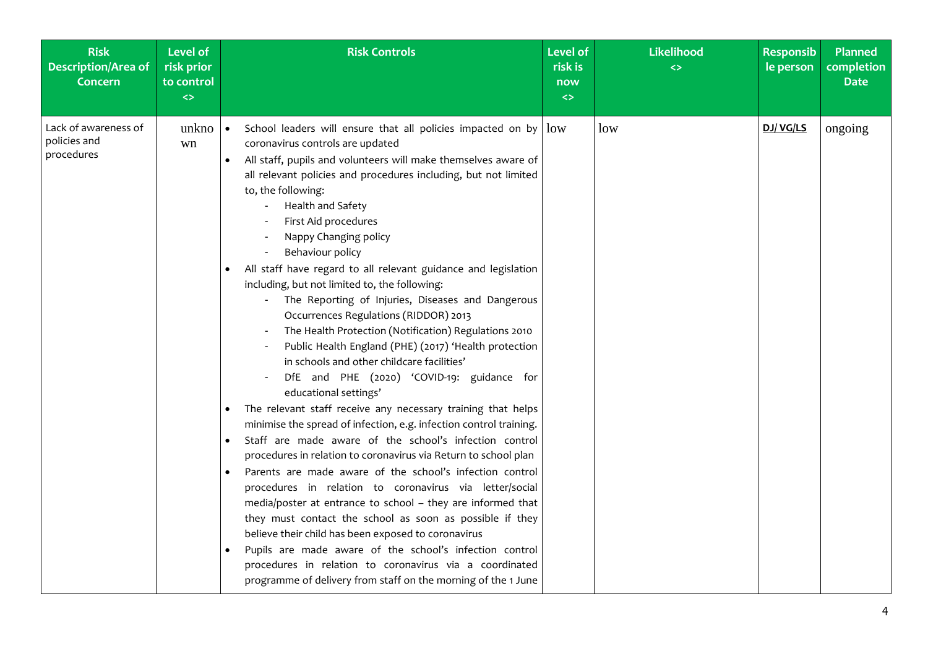| <b>Risk</b><br><b>Description/Area of</b><br><b>Concern</b> | <b>Level of</b><br>risk prior<br>to control<br>$\Leftrightarrow$ | <b>Risk Controls</b>                                                                                                                                                                                                                                                                                                                                                                                                                                                                                                                                                                                                                                                                                                                                                                                                                                                                                                                                                                                                                                                                                                                                                                                                                                                                                                                                                                                                                                                                                                                                                                                     | <b>Level of</b><br>risk is<br>now<br>$\leftrightarrow$ | <b>Likelihood</b><br>$\leftrightarrow$ | <b>Responsib</b><br>le person | <b>Planned</b><br>completion<br><b>Date</b> |
|-------------------------------------------------------------|------------------------------------------------------------------|----------------------------------------------------------------------------------------------------------------------------------------------------------------------------------------------------------------------------------------------------------------------------------------------------------------------------------------------------------------------------------------------------------------------------------------------------------------------------------------------------------------------------------------------------------------------------------------------------------------------------------------------------------------------------------------------------------------------------------------------------------------------------------------------------------------------------------------------------------------------------------------------------------------------------------------------------------------------------------------------------------------------------------------------------------------------------------------------------------------------------------------------------------------------------------------------------------------------------------------------------------------------------------------------------------------------------------------------------------------------------------------------------------------------------------------------------------------------------------------------------------------------------------------------------------------------------------------------------------|--------------------------------------------------------|----------------------------------------|-------------------------------|---------------------------------------------|
| Lack of awareness of<br>policies and<br>procedures          | unkno $ \bullet$<br>wn                                           | School leaders will ensure that all policies impacted on by $\vert$ low<br>coronavirus controls are updated<br>All staff, pupils and volunteers will make themselves aware of<br>$\bullet$<br>all relevant policies and procedures including, but not limited<br>to, the following:<br>Health and Safety<br>First Aid procedures<br>Nappy Changing policy<br>Behaviour policy<br>All staff have regard to all relevant guidance and legislation<br>including, but not limited to, the following:<br>The Reporting of Injuries, Diseases and Dangerous<br>Occurrences Regulations (RIDDOR) 2013<br>The Health Protection (Notification) Regulations 2010<br>Public Health England (PHE) (2017) 'Health protection<br>in schools and other childcare facilities'<br>DfE and PHE (2020) 'COVID-19: guidance for<br>educational settings'<br>The relevant staff receive any necessary training that helps<br>minimise the spread of infection, e.g. infection control training.<br>Staff are made aware of the school's infection control<br>procedures in relation to coronavirus via Return to school plan<br>Parents are made aware of the school's infection control<br>procedures in relation to coronavirus via letter/social<br>media/poster at entrance to school - they are informed that<br>they must contact the school as soon as possible if they<br>believe their child has been exposed to coronavirus<br>Pupils are made aware of the school's infection control<br>procedures in relation to coronavirus via a coordinated<br>programme of delivery from staff on the morning of the 1 June |                                                        | low                                    | DJ/VG/LS                      | ongoing                                     |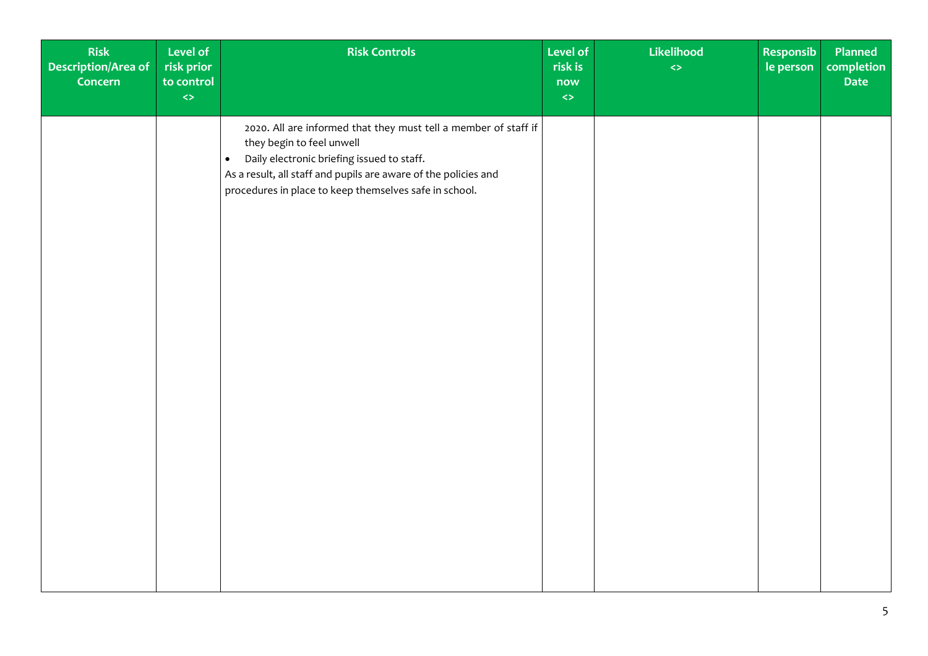| Risk<br>Level of<br>Description/Area of<br>risk prior<br>to control<br>Concern<br>$\Leftrightarrow$ | <b>Risk Controls</b>                                                                                                                                                                                                                                                                 | <b>Level of</b><br>risk is<br>now<br>$\Leftrightarrow$ | Likelihood<br>$\Leftrightarrow$ | <b>Responsib</b><br>le person | Planned<br><b>completion</b><br>Date |
|-----------------------------------------------------------------------------------------------------|--------------------------------------------------------------------------------------------------------------------------------------------------------------------------------------------------------------------------------------------------------------------------------------|--------------------------------------------------------|---------------------------------|-------------------------------|--------------------------------------|
|                                                                                                     | 2020. All are informed that they must tell a member of staff if<br>they begin to feel unwell<br>Daily electronic briefing issued to staff.<br>$\bullet$<br>As a result, all staff and pupils are aware of the policies and<br>procedures in place to keep themselves safe in school. |                                                        |                                 |                               |                                      |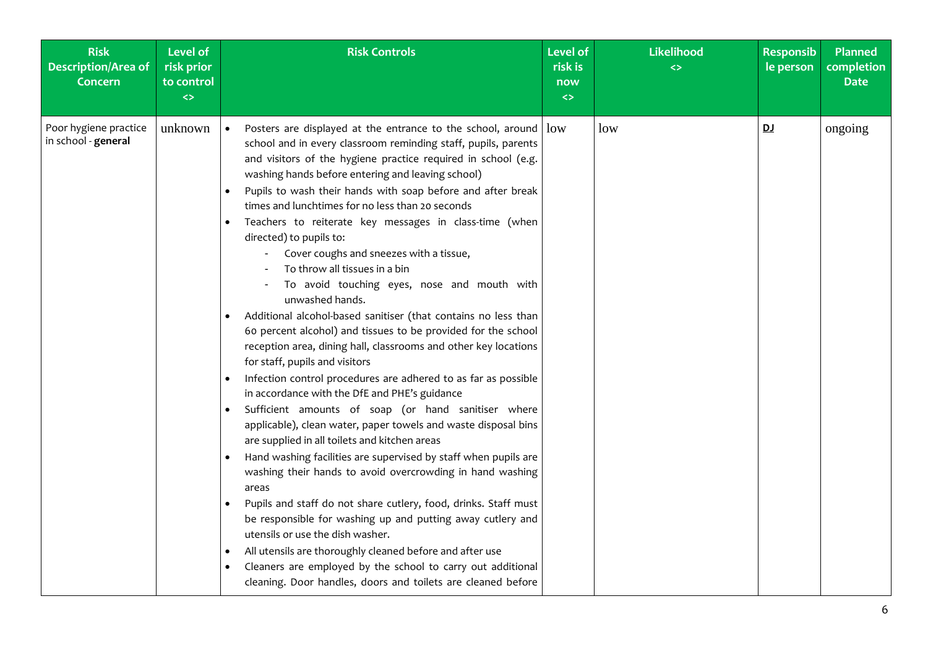| <b>Risk</b><br><b>Description/Area of</b><br><b>Concern</b> | <b>Level of</b><br>risk prior<br>to control<br>$\left\langle \right\rangle$ | <b>Risk Controls</b>                                                                                                                                                                                                                                                                                                                                                                                                                                                                                                                                                                                                                                                                                                                                                                                                                                                                                                                                                                                                                                                                                                                                                                                                                                                                                                                                                                                                                                                                                                                                                                                                                                                                          | <b>Level of</b><br>risk is<br>now<br>$\leftrightarrow$ | <b>Likelihood</b><br>$\leftrightarrow$ | <b>Responsib</b><br>le person | <b>Planned</b><br>completion<br><b>Date</b> |
|-------------------------------------------------------------|-----------------------------------------------------------------------------|-----------------------------------------------------------------------------------------------------------------------------------------------------------------------------------------------------------------------------------------------------------------------------------------------------------------------------------------------------------------------------------------------------------------------------------------------------------------------------------------------------------------------------------------------------------------------------------------------------------------------------------------------------------------------------------------------------------------------------------------------------------------------------------------------------------------------------------------------------------------------------------------------------------------------------------------------------------------------------------------------------------------------------------------------------------------------------------------------------------------------------------------------------------------------------------------------------------------------------------------------------------------------------------------------------------------------------------------------------------------------------------------------------------------------------------------------------------------------------------------------------------------------------------------------------------------------------------------------------------------------------------------------------------------------------------------------|--------------------------------------------------------|----------------------------------------|-------------------------------|---------------------------------------------|
| Poor hygiene practice<br>in school - general                | unknown                                                                     | Posters are displayed at the entrance to the school, around $\vert$ low<br>$\bullet$<br>school and in every classroom reminding staff, pupils, parents<br>and visitors of the hygiene practice required in school (e.g.<br>washing hands before entering and leaving school)<br>Pupils to wash their hands with soap before and after break<br>times and lunchtimes for no less than 20 seconds<br>Teachers to reiterate key messages in class-time (when<br>directed) to pupils to:<br>Cover coughs and sneezes with a tissue,<br>To throw all tissues in a bin<br>To avoid touching eyes, nose and mouth with<br>unwashed hands.<br>Additional alcohol-based sanitiser (that contains no less than<br>60 percent alcohol) and tissues to be provided for the school<br>reception area, dining hall, classrooms and other key locations<br>for staff, pupils and visitors<br>Infection control procedures are adhered to as far as possible<br>in accordance with the DfE and PHE's guidance<br>Sufficient amounts of soap (or hand sanitiser where<br>applicable), clean water, paper towels and waste disposal bins<br>are supplied in all toilets and kitchen areas<br>Hand washing facilities are supervised by staff when pupils are<br>washing their hands to avoid overcrowding in hand washing<br>areas<br>Pupils and staff do not share cutlery, food, drinks. Staff must<br>be responsible for washing up and putting away cutlery and<br>utensils or use the dish washer.<br>All utensils are thoroughly cleaned before and after use<br>Cleaners are employed by the school to carry out additional<br>$\bullet$<br>cleaning. Door handles, doors and toilets are cleaned before |                                                        | low                                    | <u>DJ</u>                     | ongoing                                     |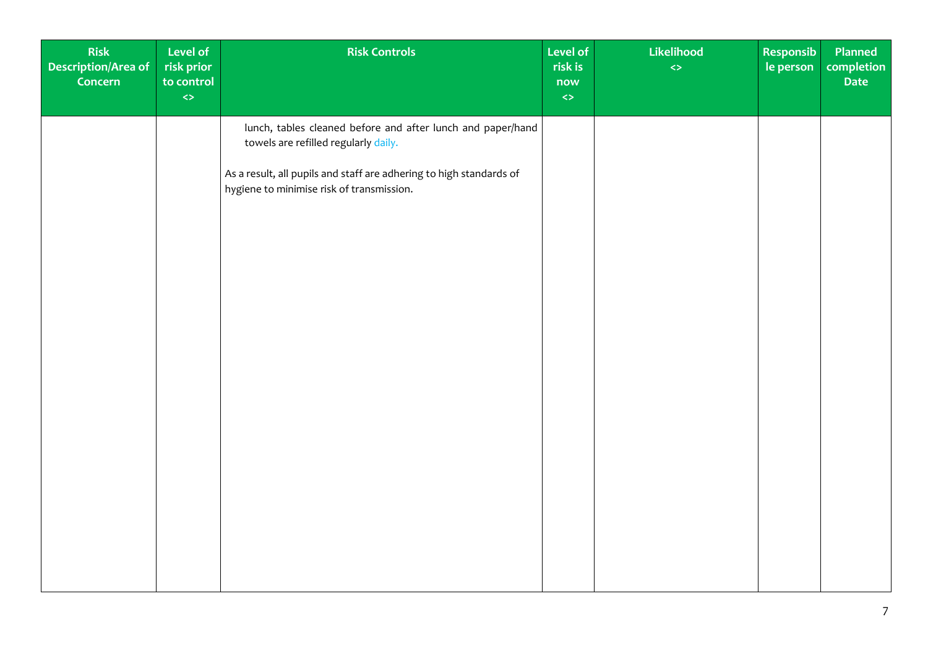| Risk<br>Description/Area of<br>Concern | Level of<br>risk prior<br>to control<br>$\Leftrightarrow$ | <b>Risk Controls</b>                                                                                                                                                                                                    | Level of<br>risk is<br>now<br>$\Leftrightarrow$ | Likelihood<br>$\Leftrightarrow$ | Responsib<br>le person | Planned<br>completion<br>Date |
|----------------------------------------|-----------------------------------------------------------|-------------------------------------------------------------------------------------------------------------------------------------------------------------------------------------------------------------------------|-------------------------------------------------|---------------------------------|------------------------|-------------------------------|
|                                        |                                                           | lunch, tables cleaned before and after lunch and paper/hand<br>towels are refilled regularly daily.<br>As a result, all pupils and staff are adhering to high standards of<br>hygiene to minimise risk of transmission. |                                                 |                                 |                        |                               |
|                                        |                                                           |                                                                                                                                                                                                                         |                                                 |                                 |                        |                               |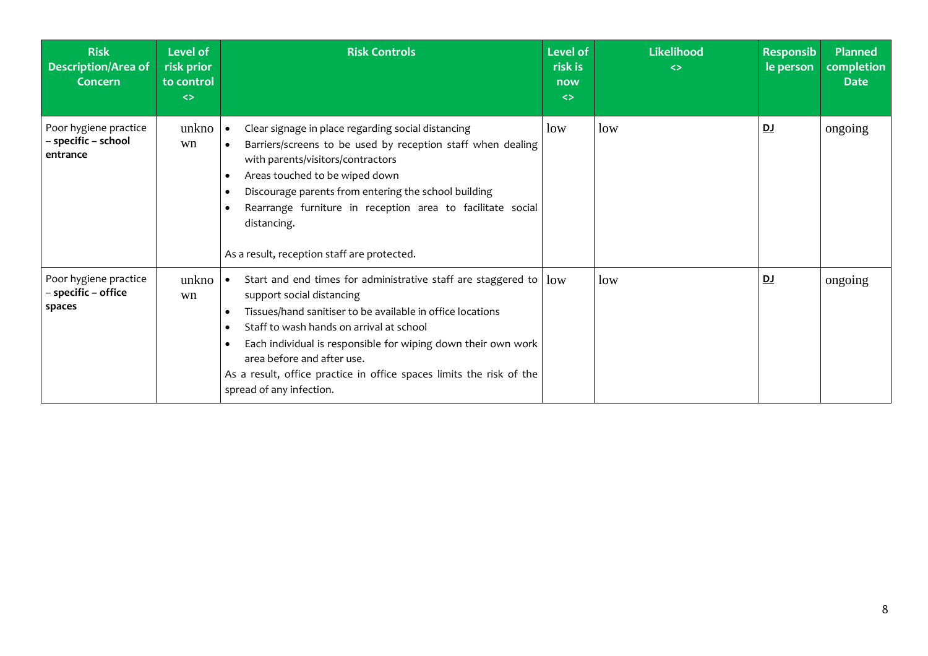| <b>Risk</b><br><b>Description/Area of</b><br>Concern     | Level of<br>risk prior<br>to control<br>$\leftrightarrow$ | <b>Risk Controls</b>                                                                                                                                                                                                                                                                                                                                                                                                                                       | <b>Level of</b><br>risk is<br>now<br>$\leftrightarrow$ | <b>Likelihood</b><br>$\leftrightarrow$ | <b>Responsib</b><br>le person | <b>Planned</b><br>completion<br><b>Date</b> |
|----------------------------------------------------------|-----------------------------------------------------------|------------------------------------------------------------------------------------------------------------------------------------------------------------------------------------------------------------------------------------------------------------------------------------------------------------------------------------------------------------------------------------------------------------------------------------------------------------|--------------------------------------------------------|----------------------------------------|-------------------------------|---------------------------------------------|
| Poor hygiene practice<br>– specific – school<br>entrance | unkno<br>wn                                               | Clear signage in place regarding social distancing<br>Barriers/screens to be used by reception staff when dealing<br>$\bullet$<br>with parents/visitors/contractors<br>Areas touched to be wiped down<br>$\bullet$<br>Discourage parents from entering the school building<br>$\bullet$<br>Rearrange furniture in reception area to facilitate social<br>$\bullet$<br>distancing.<br>As a result, reception staff are protected.                           | low                                                    | low                                    | <u>DJ</u>                     | ongoing                                     |
| Poor hygiene practice<br>- specific - office<br>spaces   | unkno<br>wn                                               | Start and end times for administrative staff are staggered to $\vert$ low<br>support social distancing<br>Tissues/hand sanitiser to be available in office locations<br>$\bullet$<br>Staff to wash hands on arrival at school<br>$\bullet$<br>Each individual is responsible for wiping down their own work<br>$\bullet$<br>area before and after use.<br>As a result, office practice in office spaces limits the risk of the<br>spread of any infection. |                                                        | low                                    | DJ                            | ongoing                                     |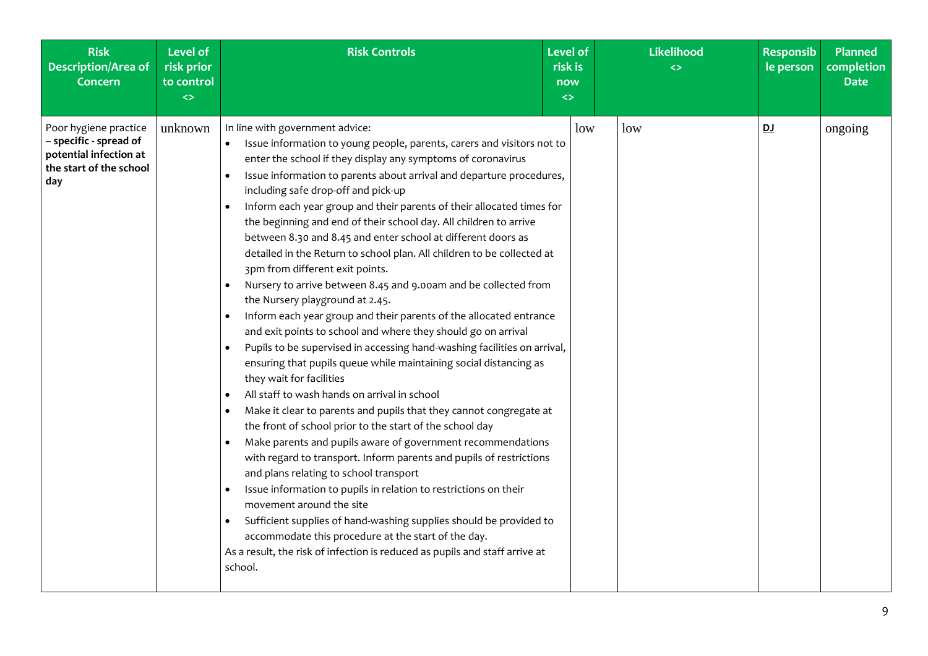| <b>Risk</b><br><b>Description/Area of</b><br><b>Concern</b>                                                 | <b>Level of</b><br>risk prior<br>to control<br>$\leftrightarrow$ | <b>Risk Controls</b>                                                                                                                                                                                                                                                                                                                                                                                                                                                                                                                                                                                                                                                                                                                                                                                                                                                                                                                                                                                                                                                                                                                                                                                                                                                                                                                                                                                                                                                                                                                                                                                                                                                                                                                                | <b>Level of</b><br>risk is<br>now<br>$\leftrightarrow$ | <b>Likelihood</b><br>$\leftrightarrow$ | <b>Responsib</b><br>le person | Planned<br>completion<br><b>Date</b> |
|-------------------------------------------------------------------------------------------------------------|------------------------------------------------------------------|-----------------------------------------------------------------------------------------------------------------------------------------------------------------------------------------------------------------------------------------------------------------------------------------------------------------------------------------------------------------------------------------------------------------------------------------------------------------------------------------------------------------------------------------------------------------------------------------------------------------------------------------------------------------------------------------------------------------------------------------------------------------------------------------------------------------------------------------------------------------------------------------------------------------------------------------------------------------------------------------------------------------------------------------------------------------------------------------------------------------------------------------------------------------------------------------------------------------------------------------------------------------------------------------------------------------------------------------------------------------------------------------------------------------------------------------------------------------------------------------------------------------------------------------------------------------------------------------------------------------------------------------------------------------------------------------------------------------------------------------------------|--------------------------------------------------------|----------------------------------------|-------------------------------|--------------------------------------|
| Poor hygiene practice<br>- specific - spread of<br>potential infection at<br>the start of the school<br>day | unknown                                                          | In line with government advice:<br>Issue information to young people, parents, carers and visitors not to<br>$\bullet$<br>enter the school if they display any symptoms of coronavirus<br>Issue information to parents about arrival and departure procedures,<br>including safe drop-off and pick-up<br>Inform each year group and their parents of their allocated times for<br>the beginning and end of their school day. All children to arrive<br>between 8.30 and 8.45 and enter school at different doors as<br>detailed in the Return to school plan. All children to be collected at<br>3pm from different exit points.<br>Nursery to arrive between 8.45 and 9.00am and be collected from<br>the Nursery playground at 2.45.<br>Inform each year group and their parents of the allocated entrance<br>and exit points to school and where they should go on arrival<br>Pupils to be supervised in accessing hand-washing facilities on arrival,<br>ensuring that pupils queue while maintaining social distancing as<br>they wait for facilities<br>All staff to wash hands on arrival in school<br>Make it clear to parents and pupils that they cannot congregate at<br>the front of school prior to the start of the school day<br>Make parents and pupils aware of government recommendations<br>with regard to transport. Inform parents and pupils of restrictions<br>and plans relating to school transport<br>Issue information to pupils in relation to restrictions on their<br>movement around the site<br>Sufficient supplies of hand-washing supplies should be provided to<br>accommodate this procedure at the start of the day.<br>As a result, the risk of infection is reduced as pupils and staff arrive at<br>school. | low                                                    | low                                    | <u>DJ</u>                     | ongoing                              |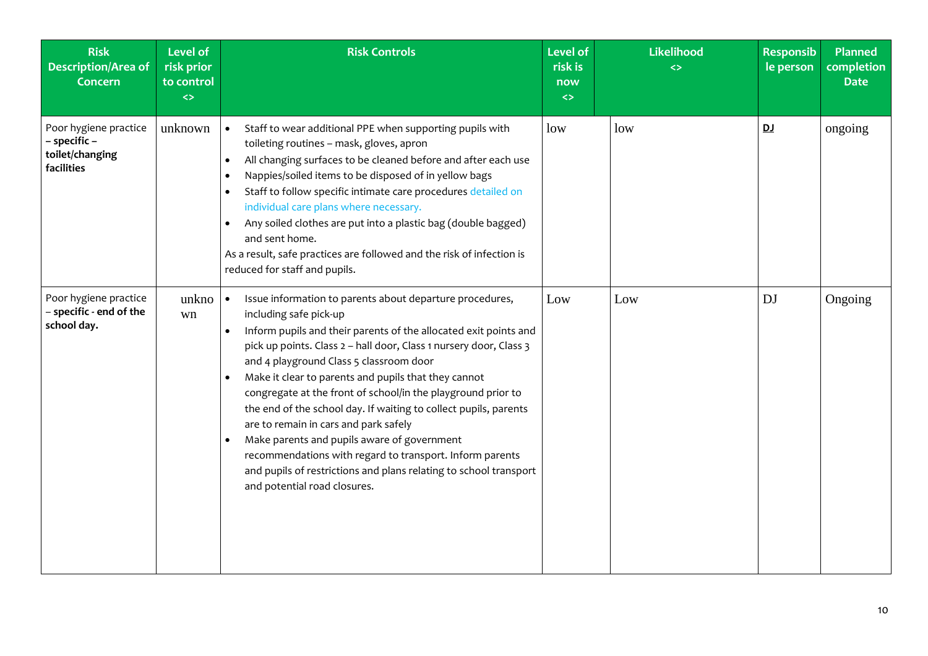| <b>Risk</b><br>Description/Area of<br><b>Concern</b>                   | <b>Level of</b><br>risk prior<br>to control<br>$\leftrightarrow$ | <b>Risk Controls</b>                                                                                                                                                                                                                                                                                                                                                                                                                                                                                                                                                                                                                                                                                                                                   | <b>Level of</b><br>risk is<br>now<br>$\leftrightarrow$ | Likelihood<br>$\leftrightarrow$ | <b>Responsib</b><br>le person | Planned<br>completion<br><b>Date</b> |
|------------------------------------------------------------------------|------------------------------------------------------------------|--------------------------------------------------------------------------------------------------------------------------------------------------------------------------------------------------------------------------------------------------------------------------------------------------------------------------------------------------------------------------------------------------------------------------------------------------------------------------------------------------------------------------------------------------------------------------------------------------------------------------------------------------------------------------------------------------------------------------------------------------------|--------------------------------------------------------|---------------------------------|-------------------------------|--------------------------------------|
| Poor hygiene practice<br>- specific -<br>toilet/changing<br>facilities | unknown                                                          | Staff to wear additional PPE when supporting pupils with<br>$\bullet$<br>toileting routines - mask, gloves, apron<br>All changing surfaces to be cleaned before and after each use<br>$\bullet$<br>Nappies/soiled items to be disposed of in yellow bags<br>$\bullet$<br>Staff to follow specific intimate care procedures detailed on<br>individual care plans where necessary.<br>Any soiled clothes are put into a plastic bag (double bagged)<br>and sent home.<br>As a result, safe practices are followed and the risk of infection is<br>reduced for staff and pupils.                                                                                                                                                                          | low                                                    | low                             | <u>DJ</u>                     | ongoing                              |
| Poor hygiene practice<br>- specific - end of the<br>school day.        | unkno<br>wn                                                      | Issue information to parents about departure procedures,<br>including safe pick-up<br>Inform pupils and their parents of the allocated exit points and<br>$\bullet$<br>pick up points. Class 2 - hall door, Class 1 nursery door, Class 3<br>and 4 playground Class 5 classroom door<br>Make it clear to parents and pupils that they cannot<br>$\bullet$<br>congregate at the front of school/in the playground prior to<br>the end of the school day. If waiting to collect pupils, parents<br>are to remain in cars and park safely<br>Make parents and pupils aware of government<br>recommendations with regard to transport. Inform parents<br>and pupils of restrictions and plans relating to school transport<br>and potential road closures. | Low                                                    | Low                             | <b>DJ</b>                     | Ongoing                              |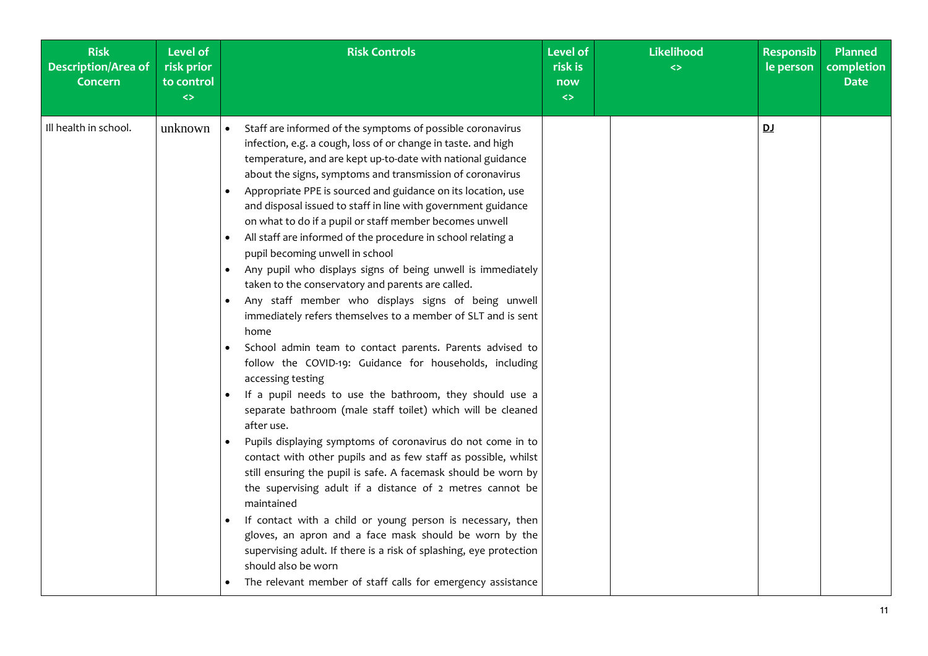| <b>Risk</b><br><b>Description/Area of</b><br><b>Concern</b> | <b>Level of</b><br>risk prior<br>to control<br>$\leftrightarrow$ | <b>Risk Controls</b>                                                                                                                                                                                                                                                                                                                                                                                                                                                                                                                                                                                                                                                                                                                                                                                                                                                                                                                                                                                                                                                                                                                                                                                                                                                                                                                                                                                                                                                                                                                                                                                                                                                         | <b>Level of</b><br>risk is<br>now<br>$\left\langle \right\rangle$ | Likelihood<br>$\leftrightarrow$ | <b>Responsib</b><br>le person | <b>Planned</b><br>completion<br><b>Date</b> |
|-------------------------------------------------------------|------------------------------------------------------------------|------------------------------------------------------------------------------------------------------------------------------------------------------------------------------------------------------------------------------------------------------------------------------------------------------------------------------------------------------------------------------------------------------------------------------------------------------------------------------------------------------------------------------------------------------------------------------------------------------------------------------------------------------------------------------------------------------------------------------------------------------------------------------------------------------------------------------------------------------------------------------------------------------------------------------------------------------------------------------------------------------------------------------------------------------------------------------------------------------------------------------------------------------------------------------------------------------------------------------------------------------------------------------------------------------------------------------------------------------------------------------------------------------------------------------------------------------------------------------------------------------------------------------------------------------------------------------------------------------------------------------------------------------------------------------|-------------------------------------------------------------------|---------------------------------|-------------------------------|---------------------------------------------|
| Ill health in school.                                       | unknown                                                          | Staff are informed of the symptoms of possible coronavirus<br>$\bullet$<br>infection, e.g. a cough, loss of or change in taste. and high<br>temperature, and are kept up-to-date with national guidance<br>about the signs, symptoms and transmission of coronavirus<br>Appropriate PPE is sourced and guidance on its location, use<br>and disposal issued to staff in line with government guidance<br>on what to do if a pupil or staff member becomes unwell<br>All staff are informed of the procedure in school relating a<br>pupil becoming unwell in school<br>Any pupil who displays signs of being unwell is immediately<br>taken to the conservatory and parents are called.<br>Any staff member who displays signs of being unwell<br>immediately refers themselves to a member of SLT and is sent<br>home<br>School admin team to contact parents. Parents advised to<br>follow the COVID-19: Guidance for households, including<br>accessing testing<br>If a pupil needs to use the bathroom, they should use a<br>separate bathroom (male staff toilet) which will be cleaned<br>after use.<br>Pupils displaying symptoms of coronavirus do not come in to<br>contact with other pupils and as few staff as possible, whilst<br>still ensuring the pupil is safe. A facemask should be worn by<br>the supervising adult if a distance of 2 metres cannot be<br>maintained<br>If contact with a child or young person is necessary, then<br>gloves, an apron and a face mask should be worn by the<br>supervising adult. If there is a risk of splashing, eye protection<br>should also be worn<br>The relevant member of staff calls for emergency assistance |                                                                   |                                 | D <sub>J</sub>                |                                             |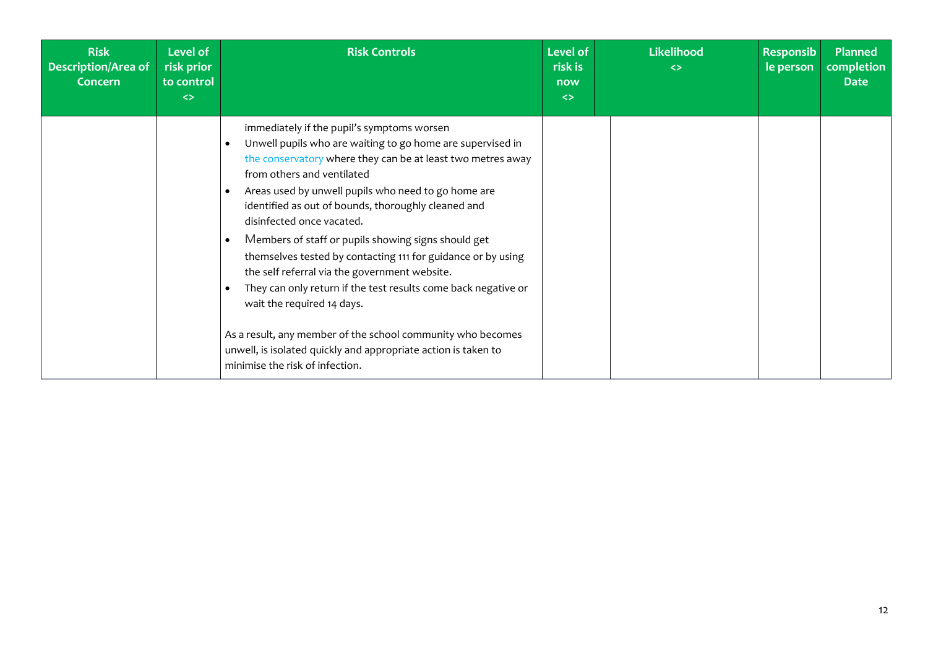| <b>Risk</b><br><b>Description/Area of</b><br>Concern | Level of<br>risk prior<br>to control<br>$\leftrightarrow$ | <b>Risk Controls</b>                                                                                                                                                                                                                                                                                                                                                                                                                                                                                                                                                                                                                                                                                                                                                                                                                             | <b>Level of</b><br>risk is<br>now<br>$\leftrightarrow$ | <b>Likelihood</b><br>$\leftrightarrow$ | <b>Responsib</b><br>le person | <b>Planned</b><br>completion<br><b>Date</b> |
|------------------------------------------------------|-----------------------------------------------------------|--------------------------------------------------------------------------------------------------------------------------------------------------------------------------------------------------------------------------------------------------------------------------------------------------------------------------------------------------------------------------------------------------------------------------------------------------------------------------------------------------------------------------------------------------------------------------------------------------------------------------------------------------------------------------------------------------------------------------------------------------------------------------------------------------------------------------------------------------|--------------------------------------------------------|----------------------------------------|-------------------------------|---------------------------------------------|
|                                                      |                                                           | immediately if the pupil's symptoms worsen<br>Unwell pupils who are waiting to go home are supervised in<br>$\bullet$<br>the conservatory where they can be at least two metres away<br>from others and ventilated<br>Areas used by unwell pupils who need to go home are<br>$\bullet$<br>identified as out of bounds, thoroughly cleaned and<br>disinfected once vacated.<br>Members of staff or pupils showing signs should get<br>$\bullet$<br>themselves tested by contacting 111 for guidance or by using<br>the self referral via the government website.<br>They can only return if the test results come back negative or<br>$\bullet$<br>wait the required 14 days.<br>As a result, any member of the school community who becomes<br>unwell, is isolated quickly and appropriate action is taken to<br>minimise the risk of infection. |                                                        |                                        |                               |                                             |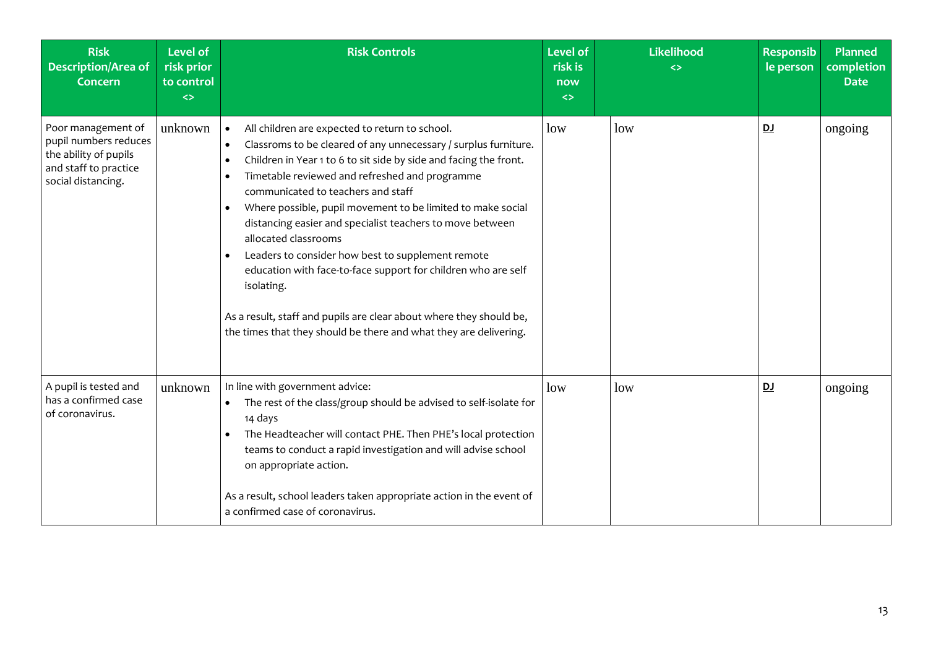| <b>Risk</b><br><b>Description/Area of</b><br><b>Concern</b>                                                         | <b>Level of</b><br>risk prior<br>to control<br>$\leftrightarrow$ | <b>Risk Controls</b>                                                                                                                                                                                                                                                                                                                                                                                                                                                                                                                                                                                                                                                                                                                                                                             | <b>Level of</b><br>risk is<br>now<br>$\leftrightarrow$ | Likelihood<br><> | <b>Responsib</b><br>le person | <b>Planned</b><br>completion<br><b>Date</b> |
|---------------------------------------------------------------------------------------------------------------------|------------------------------------------------------------------|--------------------------------------------------------------------------------------------------------------------------------------------------------------------------------------------------------------------------------------------------------------------------------------------------------------------------------------------------------------------------------------------------------------------------------------------------------------------------------------------------------------------------------------------------------------------------------------------------------------------------------------------------------------------------------------------------------------------------------------------------------------------------------------------------|--------------------------------------------------------|------------------|-------------------------------|---------------------------------------------|
| Poor management of<br>pupil numbers reduces<br>the ability of pupils<br>and staff to practice<br>social distancing. | unknown                                                          | All children are expected to return to school.<br>$\bullet$<br>Classroms to be cleared of any unnecessary / surplus furniture.<br>$\bullet$<br>Children in Year 1 to 6 to sit side by side and facing the front.<br>$\bullet$<br>Timetable reviewed and refreshed and programme<br>$\bullet$<br>communicated to teachers and staff<br>Where possible, pupil movement to be limited to make social<br>$\bullet$<br>distancing easier and specialist teachers to move between<br>allocated classrooms<br>Leaders to consider how best to supplement remote<br>$\bullet$<br>education with face-to-face support for children who are self<br>isolating.<br>As a result, staff and pupils are clear about where they should be,<br>the times that they should be there and what they are delivering. | low                                                    | low              | DJ                            | ongoing                                     |
| A pupil is tested and<br>has a confirmed case<br>of coronavirus.                                                    | unknown                                                          | In line with government advice:<br>The rest of the class/group should be advised to self-isolate for<br>$\bullet$<br>14 days<br>The Headteacher will contact PHE. Then PHE's local protection<br>$\bullet$<br>teams to conduct a rapid investigation and will advise school<br>on appropriate action.<br>As a result, school leaders taken appropriate action in the event of<br>a confirmed case of coronavirus.                                                                                                                                                                                                                                                                                                                                                                                | low                                                    | low              | <u>DJ</u>                     | ongoing                                     |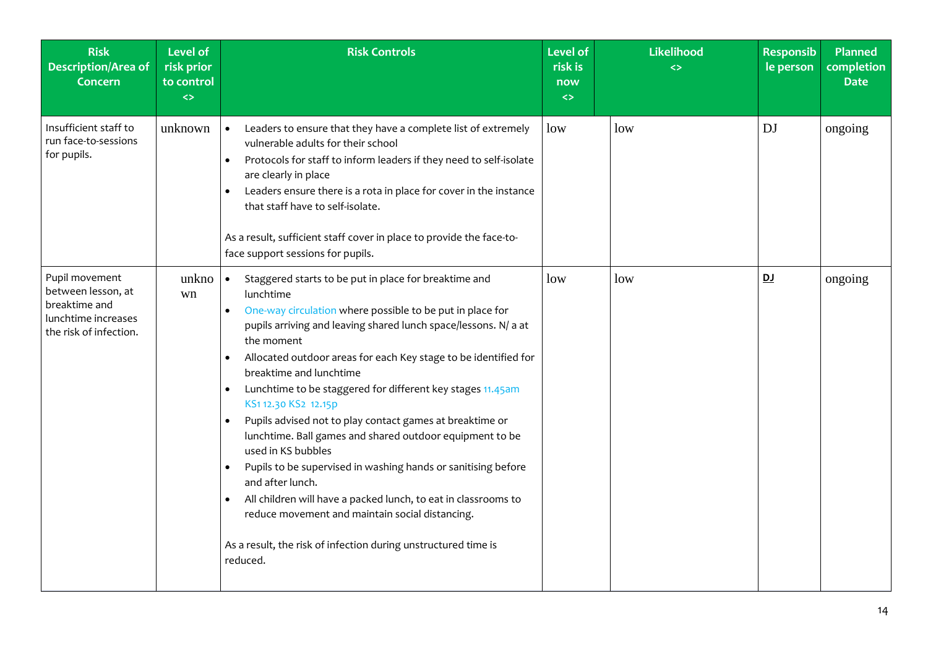| <b>Risk</b><br><b>Description/Area of</b><br><b>Concern</b>                                            | <b>Level of</b><br>risk prior<br>to control<br>$\Leftrightarrow$ | <b>Risk Controls</b>                                                                                                                                                                                                                                                                                                                                                                                                                                                                                                                                                                                                                                                                                                                                                                                                                                                              | <b>Level of</b><br>risk is<br>now<br>$\Leftrightarrow$ | <b>Likelihood</b><br>$\leftrightarrow$ | <b>Responsib</b><br>le person | Planned<br>completion<br><b>Date</b> |
|--------------------------------------------------------------------------------------------------------|------------------------------------------------------------------|-----------------------------------------------------------------------------------------------------------------------------------------------------------------------------------------------------------------------------------------------------------------------------------------------------------------------------------------------------------------------------------------------------------------------------------------------------------------------------------------------------------------------------------------------------------------------------------------------------------------------------------------------------------------------------------------------------------------------------------------------------------------------------------------------------------------------------------------------------------------------------------|--------------------------------------------------------|----------------------------------------|-------------------------------|--------------------------------------|
| Insufficient staff to<br>run face-to-sessions<br>for pupils.                                           | unknown                                                          | Leaders to ensure that they have a complete list of extremely<br>$\bullet$<br>vulnerable adults for their school<br>Protocols for staff to inform leaders if they need to self-isolate<br>$\bullet$<br>are clearly in place<br>Leaders ensure there is a rota in place for cover in the instance<br>that staff have to self-isolate.<br>As a result, sufficient staff cover in place to provide the face-to-<br>face support sessions for pupils.                                                                                                                                                                                                                                                                                                                                                                                                                                 | low                                                    | low                                    | <b>DJ</b>                     | ongoing                              |
| Pupil movement<br>between lesson, at<br>breaktime and<br>lunchtime increases<br>the risk of infection. | unkno<br>wn                                                      | Staggered starts to be put in place for breaktime and<br>$\bullet$<br>lunchtime<br>One-way circulation where possible to be put in place for<br>pupils arriving and leaving shared lunch space/lessons. N/ a at<br>the moment<br>Allocated outdoor areas for each Key stage to be identified for<br>$\bullet$<br>breaktime and lunchtime<br>Lunchtime to be staggered for different key stages 11.45am<br>$\bullet$<br>KS1 12.30 KS2 12.15p<br>Pupils advised not to play contact games at breaktime or<br>lunchtime. Ball games and shared outdoor equipment to be<br>used in KS bubbles<br>Pupils to be supervised in washing hands or sanitising before<br>and after lunch.<br>All children will have a packed lunch, to eat in classrooms to<br>reduce movement and maintain social distancing.<br>As a result, the risk of infection during unstructured time is<br>reduced. | low                                                    | low                                    | D                             | ongoing                              |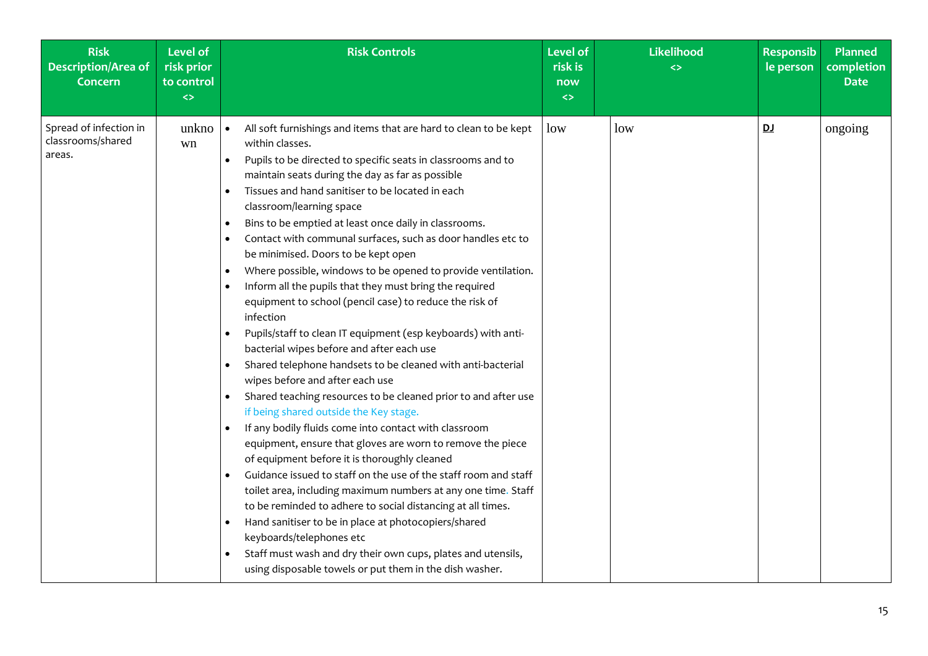| <b>Risk</b><br><b>Description/Area of</b><br><b>Concern</b> | <b>Level of</b><br>risk prior<br>to control<br>$\leftrightarrow$ | <b>Risk Controls</b>                                                                                                                                                                                                                                                                                                                                                                                                                                                                                                                                                                                                                                                                                                                                                                                                                                                                                                                                                                                                                                                                                                                                                                                                                                                                                                                                                                                                                                                                                                                                                                                                                                                                                | <b>Level of</b><br>risk is<br>now<br>$\leftrightarrow$ | <b>Likelihood</b><br>$\leftrightarrow$ | <b>Responsib</b><br>le person | <b>Planned</b><br>completion<br><b>Date</b> |
|-------------------------------------------------------------|------------------------------------------------------------------|-----------------------------------------------------------------------------------------------------------------------------------------------------------------------------------------------------------------------------------------------------------------------------------------------------------------------------------------------------------------------------------------------------------------------------------------------------------------------------------------------------------------------------------------------------------------------------------------------------------------------------------------------------------------------------------------------------------------------------------------------------------------------------------------------------------------------------------------------------------------------------------------------------------------------------------------------------------------------------------------------------------------------------------------------------------------------------------------------------------------------------------------------------------------------------------------------------------------------------------------------------------------------------------------------------------------------------------------------------------------------------------------------------------------------------------------------------------------------------------------------------------------------------------------------------------------------------------------------------------------------------------------------------------------------------------------------------|--------------------------------------------------------|----------------------------------------|-------------------------------|---------------------------------------------|
| Spread of infection in<br>classrooms/shared<br>areas.       | unkno<br>wn                                                      | All soft furnishings and items that are hard to clean to be kept<br>$\bullet$<br>within classes.<br>Pupils to be directed to specific seats in classrooms and to<br>$\bullet$<br>maintain seats during the day as far as possible<br>Tissues and hand sanitiser to be located in each<br>classroom/learning space<br>Bins to be emptied at least once daily in classrooms.<br>$\bullet$<br>Contact with communal surfaces, such as door handles etc to<br>$\bullet$<br>be minimised. Doors to be kept open<br>Where possible, windows to be opened to provide ventilation.<br>$\bullet$<br>Inform all the pupils that they must bring the required<br>equipment to school (pencil case) to reduce the risk of<br>infection<br>Pupils/staff to clean IT equipment (esp keyboards) with anti-<br>bacterial wipes before and after each use<br>Shared telephone handsets to be cleaned with anti-bacterial<br>wipes before and after each use<br>Shared teaching resources to be cleaned prior to and after use<br>$\bullet$<br>if being shared outside the Key stage.<br>If any bodily fluids come into contact with classroom<br>$\bullet$<br>equipment, ensure that gloves are worn to remove the piece<br>of equipment before it is thoroughly cleaned<br>Guidance issued to staff on the use of the staff room and staff<br>toilet area, including maximum numbers at any one time. Staff<br>to be reminded to adhere to social distancing at all times.<br>Hand sanitiser to be in place at photocopiers/shared<br>$\bullet$<br>keyboards/telephones etc<br>Staff must wash and dry their own cups, plates and utensils,<br>$\bullet$<br>using disposable towels or put them in the dish washer. | low                                                    | low                                    | DJ                            | ongoing                                     |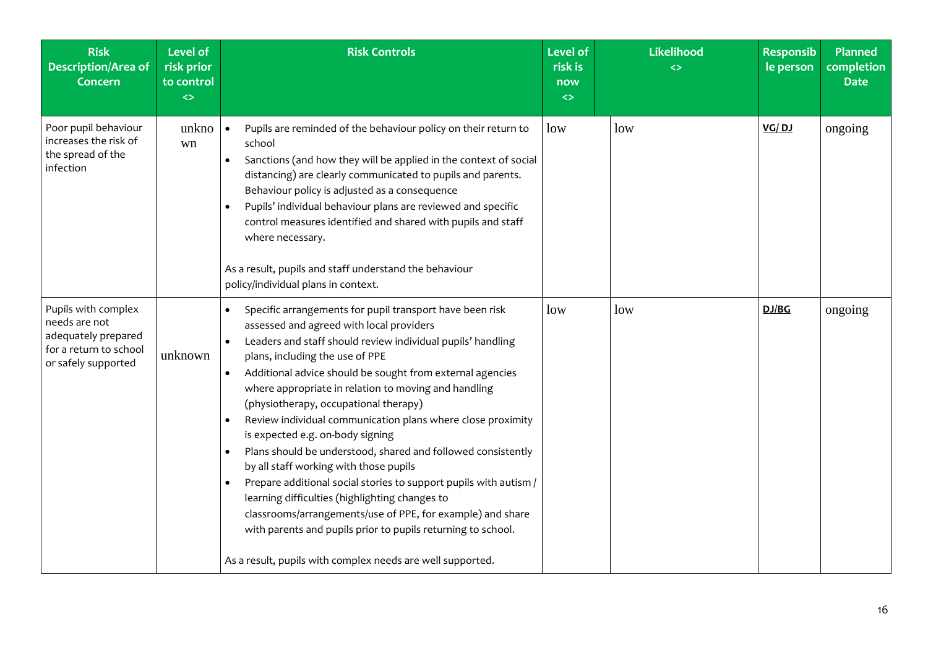| <b>Risk</b><br><b>Description/Area of</b><br><b>Concern</b>                                                  | <b>Level of</b><br>risk prior<br>to control<br>$\leftrightarrow$ | <b>Risk Controls</b>                                                                                                                                                                                                                                                                                                                                                                                                                                                                                                                                                                                                                                                                                                                                                                                                                                                                                                           | <b>Level of</b><br>risk is<br>now<br>$\leftrightarrow$ | Likelihood<br><> | <b>Responsib</b><br>le person | Planned<br>completion<br><b>Date</b> |
|--------------------------------------------------------------------------------------------------------------|------------------------------------------------------------------|--------------------------------------------------------------------------------------------------------------------------------------------------------------------------------------------------------------------------------------------------------------------------------------------------------------------------------------------------------------------------------------------------------------------------------------------------------------------------------------------------------------------------------------------------------------------------------------------------------------------------------------------------------------------------------------------------------------------------------------------------------------------------------------------------------------------------------------------------------------------------------------------------------------------------------|--------------------------------------------------------|------------------|-------------------------------|--------------------------------------|
| Poor pupil behaviour<br>increases the risk of<br>the spread of the<br>infection                              | unkno<br>wn                                                      | Pupils are reminded of the behaviour policy on their return to<br>$\bullet$<br>school<br>Sanctions (and how they will be applied in the context of social<br>distancing) are clearly communicated to pupils and parents.<br>Behaviour policy is adjusted as a consequence<br>Pupils' individual behaviour plans are reviewed and specific<br>$\bullet$<br>control measures identified and shared with pupils and staff<br>where necessary.<br>As a result, pupils and staff understand the behaviour<br>policy/individual plans in context.                                                                                                                                                                                                                                                                                                                                                                                    | low                                                    | low              | VG/DJ                         | ongoing                              |
| Pupils with complex<br>needs are not<br>adequately prepared<br>for a return to school<br>or safely supported | unknown                                                          | Specific arrangements for pupil transport have been risk<br>assessed and agreed with local providers<br>Leaders and staff should review individual pupils' handling<br>plans, including the use of PPE<br>Additional advice should be sought from external agencies<br>$\bullet$<br>where appropriate in relation to moving and handling<br>(physiotherapy, occupational therapy)<br>Review individual communication plans where close proximity<br>is expected e.g. on-body signing<br>Plans should be understood, shared and followed consistently<br>$\bullet$<br>by all staff working with those pupils<br>Prepare additional social stories to support pupils with autism /<br>learning difficulties (highlighting changes to<br>classrooms/arrangements/use of PPE, for example) and share<br>with parents and pupils prior to pupils returning to school.<br>As a result, pupils with complex needs are well supported. | low                                                    | low              | DJ/BG                         | ongoing                              |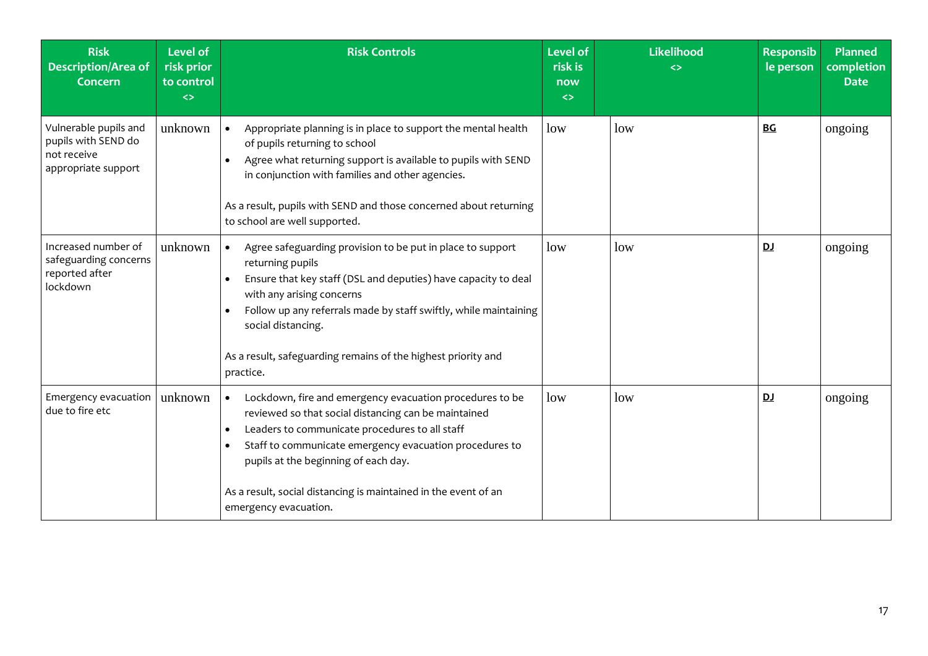| <b>Risk</b><br><b>Description/Area of</b><br><b>Concern</b>                        | <b>Level of</b><br>risk prior<br>to control<br>$\leftrightarrow$ | <b>Risk Controls</b>                                                                                                                                                                                                                                                                                                                                                                                     | <b>Level of</b><br>risk is<br>now<br>$\leftrightarrow$ | Likelihood<br><> | <b>Responsib</b><br>le person | <b>Planned</b><br>completion<br><b>Date</b> |
|------------------------------------------------------------------------------------|------------------------------------------------------------------|----------------------------------------------------------------------------------------------------------------------------------------------------------------------------------------------------------------------------------------------------------------------------------------------------------------------------------------------------------------------------------------------------------|--------------------------------------------------------|------------------|-------------------------------|---------------------------------------------|
| Vulnerable pupils and<br>pupils with SEND do<br>not receive<br>appropriate support | unknown                                                          | Appropriate planning is in place to support the mental health<br>$\bullet$<br>of pupils returning to school<br>Agree what returning support is available to pupils with SEND<br>in conjunction with families and other agencies.<br>As a result, pupils with SEND and those concerned about returning<br>to school are well supported.                                                                   | low                                                    | low              | <b>BG</b>                     | ongoing                                     |
| Increased number of<br>safeguarding concerns<br>reported after<br>lockdown         | unknown                                                          | Agree safeguarding provision to be put in place to support<br>$\bullet$<br>returning pupils<br>Ensure that key staff (DSL and deputies) have capacity to deal<br>$\bullet$<br>with any arising concerns<br>Follow up any referrals made by staff swiftly, while maintaining<br>social distancing.<br>As a result, safeguarding remains of the highest priority and<br>practice.                          | low                                                    | low              | <u>DJ</u>                     | ongoing                                     |
| Emergency evacuation<br>due to fire etc                                            | unknown                                                          | Lockdown, fire and emergency evacuation procedures to be<br>$\bullet$<br>reviewed so that social distancing can be maintained<br>Leaders to communicate procedures to all staff<br>$\bullet$<br>Staff to communicate emergency evacuation procedures to<br>$\bullet$<br>pupils at the beginning of each day.<br>As a result, social distancing is maintained in the event of an<br>emergency evacuation. | low                                                    | low              | <u>DJ</u>                     | ongoing                                     |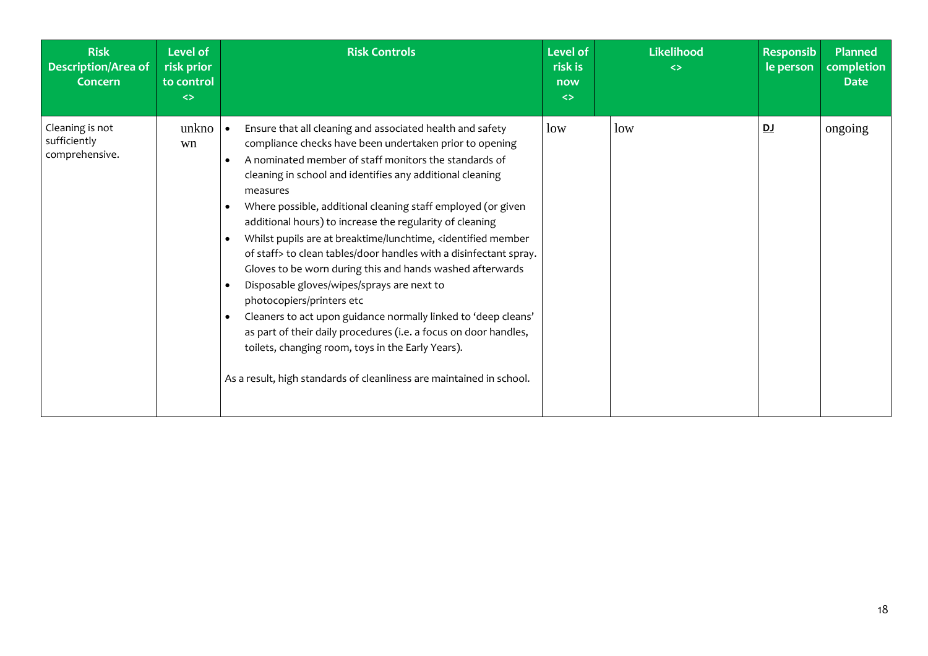| <b>Risk</b><br><b>Description/Area of</b><br>Concern | Level of<br>risk prior<br>to control<br>$\leftrightarrow$ | <b>Risk Controls</b>                                                                                                                                                                                                                                                                                                                                                                                                                                                                                                                                                                                                                                                                                                                                                                                                                                                                                                                                                                                                                                                                                                 | <b>Level of</b><br>risk is<br>now<br>$\leftrightarrow$ | Likelihood<br>$\leftrightarrow$ | <b>Responsib</b><br>le person | <b>Planned</b><br>completion<br><b>Date</b> |
|------------------------------------------------------|-----------------------------------------------------------|----------------------------------------------------------------------------------------------------------------------------------------------------------------------------------------------------------------------------------------------------------------------------------------------------------------------------------------------------------------------------------------------------------------------------------------------------------------------------------------------------------------------------------------------------------------------------------------------------------------------------------------------------------------------------------------------------------------------------------------------------------------------------------------------------------------------------------------------------------------------------------------------------------------------------------------------------------------------------------------------------------------------------------------------------------------------------------------------------------------------|--------------------------------------------------------|---------------------------------|-------------------------------|---------------------------------------------|
| Cleaning is not<br>sufficiently<br>comprehensive.    | unkno<br>wn                                               | Ensure that all cleaning and associated health and safety<br>compliance checks have been undertaken prior to opening<br>A nominated member of staff monitors the standards of<br>$\bullet$<br>cleaning in school and identifies any additional cleaning<br>measures<br>Where possible, additional cleaning staff employed (or given<br>$\bullet$<br>additional hours) to increase the regularity of cleaning<br>Whilst pupils are at breaktime/lunchtime, <identified member<br=""><math display="inline">\bullet</math><br/>of staff&gt; to clean tables/door handles with a disinfectant spray.<br/>Gloves to be worn during this and hands washed afterwards<br/>Disposable gloves/wipes/sprays are next to<br/><math display="inline">\bullet</math><br/>photocopiers/printers etc<br/>Cleaners to act upon guidance normally linked to 'deep cleans'<br/><math display="inline">\bullet</math><br/>as part of their daily procedures (i.e. a focus on door handles,<br/>toilets, changing room, toys in the Early Years).<br/>As a result, high standards of cleanliness are maintained in school.</identified> | low                                                    | low                             | <u>DJ</u>                     | ongoing                                     |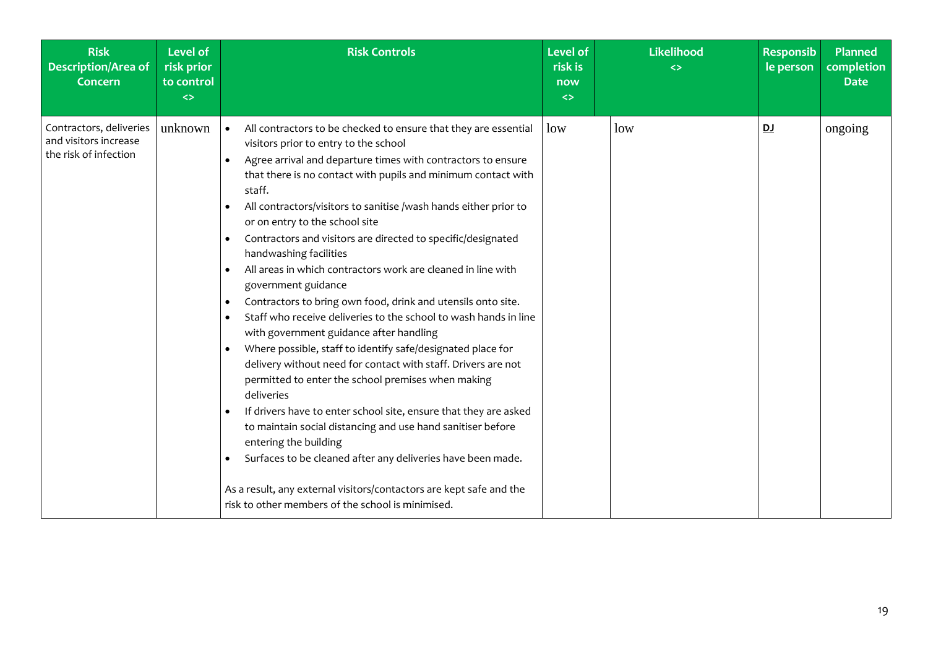| <b>Risk</b><br><b>Description/Area of</b><br>Concern                      | <b>Level of</b><br>risk prior<br>to control<br>$\leftrightarrow$ | <b>Risk Controls</b>                                                                                                                                                                                                                                                                                                                                                                                                                                                                                                                                                                                                                                                                                                                                                                                                                                                                                                                                                                                                                                                                                                                                                                                                                                                                                                                     | <b>Level of</b><br>risk is<br>now<br>$\leftrightarrow$ | Likelihood<br><> | <b>Responsib</b><br>le person | Planned<br>completion<br><b>Date</b> |
|---------------------------------------------------------------------------|------------------------------------------------------------------|------------------------------------------------------------------------------------------------------------------------------------------------------------------------------------------------------------------------------------------------------------------------------------------------------------------------------------------------------------------------------------------------------------------------------------------------------------------------------------------------------------------------------------------------------------------------------------------------------------------------------------------------------------------------------------------------------------------------------------------------------------------------------------------------------------------------------------------------------------------------------------------------------------------------------------------------------------------------------------------------------------------------------------------------------------------------------------------------------------------------------------------------------------------------------------------------------------------------------------------------------------------------------------------------------------------------------------------|--------------------------------------------------------|------------------|-------------------------------|--------------------------------------|
| Contractors, deliveries<br>and visitors increase<br>the risk of infection | unknown                                                          | All contractors to be checked to ensure that they are essential<br>$\bullet$<br>visitors prior to entry to the school<br>Agree arrival and departure times with contractors to ensure<br>$\bullet$<br>that there is no contact with pupils and minimum contact with<br>staff.<br>All contractors/visitors to sanitise /wash hands either prior to<br>or on entry to the school site<br>Contractors and visitors are directed to specific/designated<br>handwashing facilities<br>All areas in which contractors work are cleaned in line with<br>government guidance<br>Contractors to bring own food, drink and utensils onto site.<br>$\bullet$<br>Staff who receive deliveries to the school to wash hands in line<br>$\bullet$<br>with government guidance after handling<br>Where possible, staff to identify safe/designated place for<br>delivery without need for contact with staff. Drivers are not<br>permitted to enter the school premises when making<br>deliveries<br>If drivers have to enter school site, ensure that they are asked<br>to maintain social distancing and use hand sanitiser before<br>entering the building<br>Surfaces to be cleaned after any deliveries have been made.<br>As a result, any external visitors/contactors are kept safe and the<br>risk to other members of the school is minimised. | low                                                    | low              | DJ                            | ongoing                              |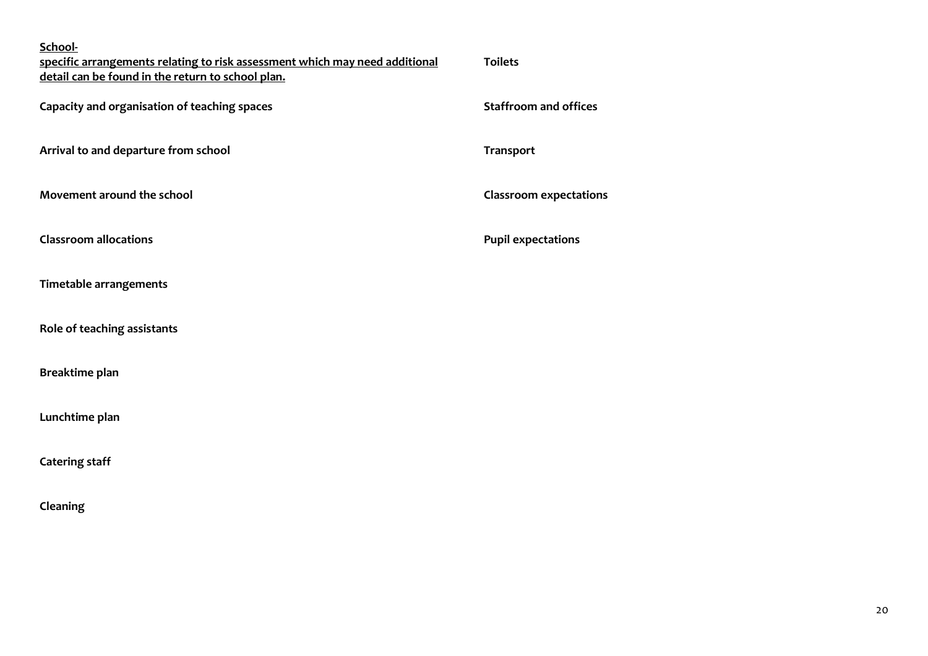| School-<br>specific arrangements relating to risk assessment which may need additional<br>detail can be found in the return to school plan. | <b>Toilets</b>                |
|---------------------------------------------------------------------------------------------------------------------------------------------|-------------------------------|
| Capacity and organisation of teaching spaces                                                                                                | <b>Staffroom and offices</b>  |
| Arrival to and departure from school                                                                                                        | <b>Transport</b>              |
| Movement around the school                                                                                                                  | <b>Classroom expectations</b> |
| <b>Classroom allocations</b>                                                                                                                | <b>Pupil expectations</b>     |
| Timetable arrangements                                                                                                                      |                               |
| Role of teaching assistants                                                                                                                 |                               |
| Breaktime plan                                                                                                                              |                               |
| Lunchtime plan                                                                                                                              |                               |
| <b>Catering staff</b>                                                                                                                       |                               |
| Cleaning                                                                                                                                    |                               |